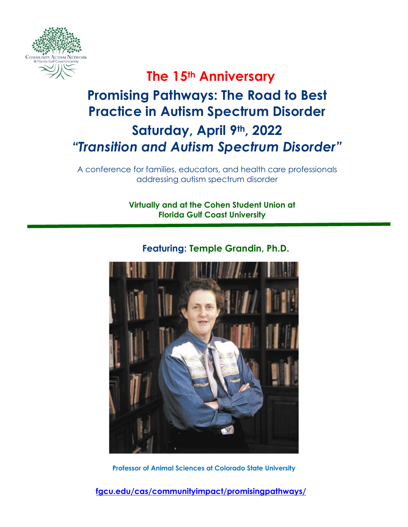

### **The 15th Anniversary**

### **Promising Pathways: The Road to Best Practice in Autism Spectrum Disorder Saturday, April 9th, 2022**

# *"Transition and Autism Spectrum Disorder"*

A conference for families, educators, and health care professionals addressing autism spectrum disorder

> **Virtually and at the Cohen Student Union at Florida Gulf Coast University**



### **Featuring: Temple Grandin, Ph.D.**

**Professor of Animal Sciences at Colorado State University**

**[fgcu.edu/cas/communityimpact/promisingpathways/](https://www.fgcu.edu/cas/communityimpact/promisingpathways/)**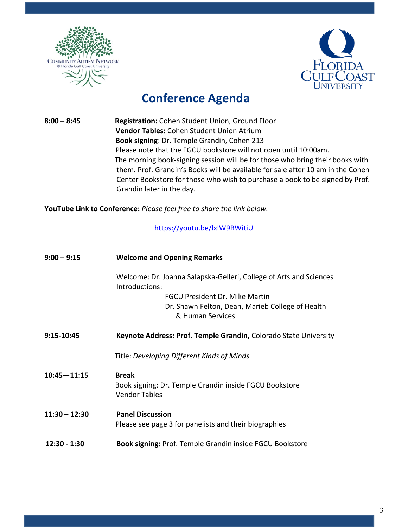



### **Conference Agenda**

**8:00 – 8:45 Registration:** Cohen Student Union, Ground Floor  **Vendor Tables:** Cohen Student Union Atrium  **Book signing**: Dr. Temple Grandin, Cohen 213 Please note that the FGCU bookstore will not open until 10:00am. The morning book-signing session will be for those who bring their books with them. Prof. Grandin's Books will be available for sale after 10 am in the Cohen Center Bookstore for those who wish to purchase a book to be signed by Prof. Grandin later in the day.

**YouTube Link to Conference:** *Please feel free to share the link below.*

[https://youtu.be/lxlW9BWitiU](https://nam04.safelinks.protection.outlook.com/?url=https%3A%2F%2Fyoutu.be%2FlxlW9BWitiU&data=04%7C01%7Camyaryan6176%40eagle.fgcu.edu%7C26cfce295faa4b47d53308da18027641%7Cf7a5a4ef4ffa4c80bfb3c12e28872099%7C0%7C0%7C637848696093135441%7CUnknown%7CTWFpbGZsb3d8eyJWIjoiMC4wLjAwMDAiLCJQIjoiV2luMzIiLCJBTiI6Ik1haWwiLCJXVCI6Mn0%3D%7C3000&sdata=xk1ZSIBd%2BAYAZpBJ92AYxrfbc%2FiyXeCEX2zizuUNgkM%3D&reserved=0)

| $9:00 - 9:15$   | <b>Welcome and Opening Remarks</b>                                                                                                                                         |  |
|-----------------|----------------------------------------------------------------------------------------------------------------------------------------------------------------------------|--|
|                 | Welcome: Dr. Joanna Salapska-Gelleri, College of Arts and Sciences<br>Introductions:<br>FGCU President Dr. Mike Martin<br>Dr. Shawn Felton, Dean, Marieb College of Health |  |
|                 | & Human Services                                                                                                                                                           |  |
| $9:15 - 10:45$  | Keynote Address: Prof. Temple Grandin, Colorado State University                                                                                                           |  |
|                 | Title: Developing Different Kinds of Minds                                                                                                                                 |  |
| $10:45 - 11:15$ | <b>Break</b><br>Book signing: Dr. Temple Grandin inside FGCU Bookstore<br><b>Vendor Tables</b>                                                                             |  |
| $11:30 - 12:30$ | <b>Panel Discussion</b><br>Please see page 3 for panelists and their biographies                                                                                           |  |
| 12:30 - 1:30    | <b>Book signing: Prof. Temple Grandin inside FGCU Bookstore</b>                                                                                                            |  |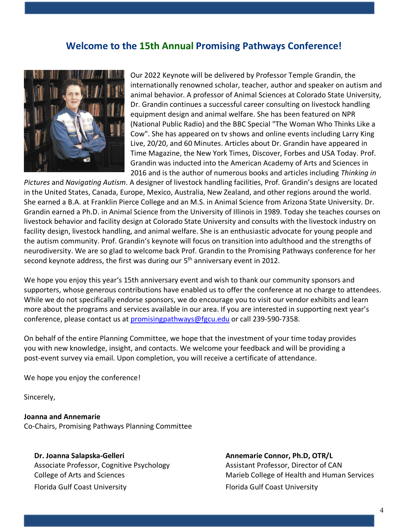### **Welcome to the 15th Annual Promising Pathways Conference!**



Our 2022 Keynote will be delivered by Professor Temple Grandin, the internationally renowned scholar, teacher, author and speaker on autism and animal behavior. A professor of Animal Sciences at Colorado State University, Dr. Grandin continues a successful career consulting on livestock handling equipment design and animal welfare. She has been featured on NPR (National Public Radio) and the BBC Special "The Woman Who Thinks Like a Cow". She has appeared on tv shows and online events including Larry King Live, 20/20, and 60 Minutes. Articles about Dr. Grandin have appeared in Time Magazine, the New York Times, Discover, Forbes and USA Today. Prof. Grandin was inducted into the American Academy of Arts and Sciences in 2016 and is the author of numerous books and articles including *Thinking in* 

*Pictures* and *Navigating Autism*. A designer of livestock handling facilities, Prof. Grandin's designs are located in the United States, Canada, Europe, Mexico, Australia, New Zealand, and other regions around the world. She earned a B.A. at Franklin Pierce College and an M.S. in Animal Science from Arizona State University. Dr. Grandin earned a Ph.D. in Animal Science from the University of Illinois in 1989. Today she teaches courses on livestock behavior and facility design at Colorado State University and consults with the livestock industry on facility design, livestock handling, and animal welfare. She is an enthusiastic advocate for young people and the autism community. Prof. Grandin's keynote will focus on transition into adulthood and the strengths of neurodiversity. We are so glad to welcome back Prof. Grandin to the Promising Pathways conference for her second keynote address, the first was during our  $5<sup>th</sup>$  anniversary event in 2012.

We hope you enjoy this year's 15th anniversary event and wish to thank our community sponsors and supporters, whose generous contributions have enabled us to offer the conference at no charge to attendees. While we do not specifically endorse sponsors, we do encourage you to visit our vendor exhibits and learn more about the programs and services available in our area. If you are interested in supporting next year's conference, please contact us at [promisingpathways@fgcu.edu](mailto:promisingpathways@fgcu.edu) or call 239-590-7358.

On behalf of the entire Planning Committee, we hope that the investment of your time today provides you with new knowledge, insight, and contacts. We welcome your feedback and will be providing a post-event survey via email. Upon completion, you will receive a certificate of attendance.

We hope you enjoy the conference!

Sincerely,

**Joanna and Annemarie**  Co-Chairs, Promising Pathways Planning Committee

**Dr. Joanna Salapska-Gelleri** Annemarie Connor, Ph.D, OTR/L Associate Professor, Cognitive Psychology **Assistant Professor, Director of CAN** Florida Gulf Coast University Florida Gulf Coast University

College of Arts and Sciences **Marieb College of Health and Human Services** Marieb College of Health and Human Services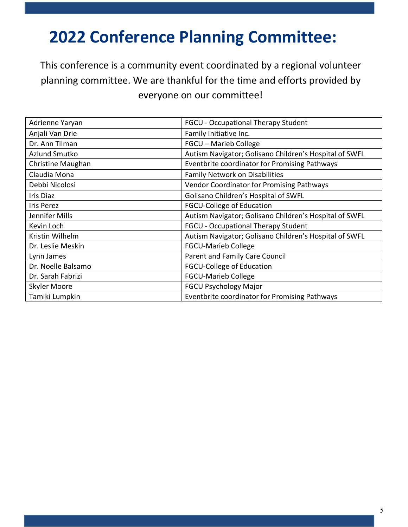# **2022 Conference Planning Committee:**

This conference is a community event coordinated by a regional volunteer planning committee. We are thankful for the time and efforts provided by everyone on our committee!

| Adrienne Yaryan    | FGCU - Occupational Therapy Student                    |
|--------------------|--------------------------------------------------------|
| Anjali Van Drie    | Family Initiative Inc.                                 |
| Dr. Ann Tilman     | FGCU - Marieb College                                  |
| Azlund Smutko      | Autism Navigator; Golisano Children's Hospital of SWFL |
| Christine Maughan  | Eventbrite coordinator for Promising Pathways          |
| Claudia Mona       | Family Network on Disabilities                         |
| Debbi Nicolosi     | Vendor Coordinator for Promising Pathways              |
| Iris Diaz          | Golisano Children's Hospital of SWFL                   |
| <b>Iris Perez</b>  | <b>FGCU-College of Education</b>                       |
| Jennifer Mills     | Autism Navigator; Golisano Children's Hospital of SWFL |
| Kevin Loch         | FGCU - Occupational Therapy Student                    |
| Kristin Wilhelm    | Autism Navigator; Golisano Children's Hospital of SWFL |
| Dr. Leslie Meskin  | <b>FGCU-Marieb College</b>                             |
| Lynn James         | Parent and Family Care Council                         |
| Dr. Noelle Balsamo | <b>FGCU-College of Education</b>                       |
| Dr. Sarah Fabrizi  | <b>FGCU-Marieb College</b>                             |
| Skyler Moore       | <b>FGCU Psychology Major</b>                           |
| Tamiki Lumpkin     | Eventbrite coordinator for Promising Pathways          |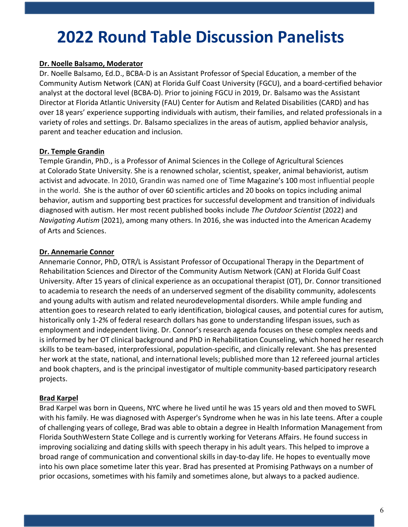## **2022 Round Table Discussion Panelists**

#### **Dr. Noelle Balsamo, Moderator**

Dr. Noelle Balsamo, Ed.D., BCBA-D is an Assistant Professor of Special Education, a member of the Community Autism Network (CAN) at Florida Gulf Coast University (FGCU), and a board-certified behavior analyst at the doctoral level (BCBA-D). Prior to joining FGCU in 2019, Dr. Balsamo was the Assistant Director at Florida Atlantic University (FAU) Center for Autism and Related Disabilities (CARD) and has over 18 years' experience supporting individuals with autism, their families, and related professionals in a variety of roles and settings. Dr. Balsamo specializes in the areas of autism, applied behavior analysis, parent and teacher education and inclusion.

#### **Dr. Temple Grandin**

Temple Grandin, PhD., is a Professor of Animal Sciences in the College of Agricultural Sciences at Colorado State University. She is a renowned scholar, scientist, speaker, animal behaviorist, autism activist and advocate. In 2010, Grandin was named one of Time Magazine's 100 most influential people in the world. She is the author of over 60 scientific articles and 20 books on topics including animal behavior, autism and supporting best practices for successful development and transition of individuals diagnosed with autism. Her most recent published books include *The Outdoor Scientist* (2022) and *Navigating Autism* (2021), among many others. In 2016, she was inducted into the American Academy of Arts and Sciences.

#### **Dr. Annemarie Connor**

Annemarie Connor, PhD, OTR/L is Assistant Professor of Occupational Therapy in the Department of Rehabilitation Sciences and Director of the Community Autism Network (CAN) at Florida Gulf Coast University. After 15 years of clinical experience as an occupational therapist (OT), Dr. Connor transitioned to academia to research the needs of an underserved segment of the disability community, adolescents and young adults with autism and related neurodevelopmental disorders. While ample funding and attention goes to research related to early identification, biological causes, and potential cures for autism, historically only 1-2% of federal research dollars has gone to understanding lifespan issues, such as employment and independent living. Dr. Connor's research agenda focuses on these complex needs and is informed by her OT clinical background and PhD in Rehabilitation Counseling, which honed her research skills to be team-based, interprofessional, population-specific, and clinically relevant. She has presented her work at the state, national, and international levels; published more than 12 refereed journal articles and book chapters, and is the principal investigator of multiple community-based participatory research projects.

#### **Brad Karpel**

Brad Karpel was born in Queens, NYC where he lived until he was 15 years old and then moved to SWFL with his family. He was diagnosed with Asperger's Syndrome when he was in his late teens. After a couple of challenging years of college, Brad was able to obtain a degree in Health Information Management from Florida SouthWestern State College and is currently working for Veterans Affairs. He found success in improving socializing and dating skills with speech therapy in his adult years. This helped to improve a broad range of communication and conventional skills in day-to-day life. He hopes to eventually move into his own place sometime later this year. Brad has presented at Promising Pathways on a number of prior occasions, sometimes with his family and sometimes alone, but always to a packed audience.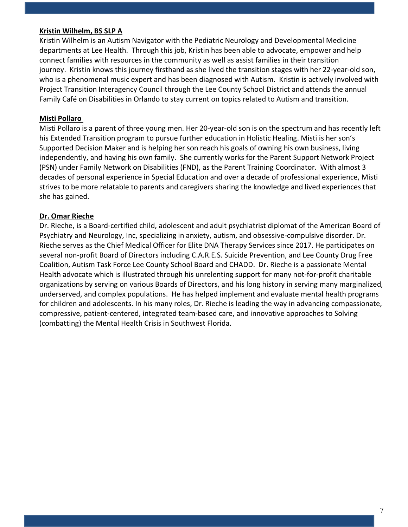#### **Kristin Wilhelm, BS SLP A**

Kristin Wilhelm is an Autism Navigator with the Pediatric Neurology and Developmental Medicine departments at Lee Health. Through this job, Kristin has been able to advocate, empower and help connect families with resources in the community as well as assist families in their transition journey. Kristin knows this journey firsthand as she lived the transition stages with her 22-year-old son, who is a phenomenal music expert and has been diagnosed with Autism. Kristin is actively involved with Project Transition Interagency Council through the Lee County School District and attends the annual Family Café on Disabilities in Orlando to stay current on topics related to Autism and transition.

#### **Misti Pollaro**

Misti Pollaro is a parent of three young men. Her 20-year-old son is on the spectrum and has recently left his Extended Transition program to pursue further education in Holistic Healing. Misti is her son's Supported Decision Maker and is helping her son reach his goals of owning his own business, living independently, and having his own family. She currently works for the Parent Support Network Project (PSN) under Family Network on Disabilities (FND), as the Parent Training Coordinator. With almost 3 decades of personal experience in Special Education and over a decade of professional experience, Misti strives to be more relatable to parents and caregivers sharing the knowledge and lived experiences that she has gained.

#### **Dr. Omar Rieche**

Dr. Rieche, is a Board-certified child, adolescent and adult psychiatrist diplomat of the American Board of Psychiatry and Neurology, Inc, specializing in anxiety, autism, and obsessive-compulsive disorder. Dr. Rieche serves as the Chief Medical Officer for Elite DNA Therapy Services since 2017. He participates on several non-profit Board of Directors including C.A.R.E.S. Suicide Prevention, and Lee County Drug Free Coalition, Autism Task Force Lee County School Board and CHADD. Dr. Rieche is a passionate Mental Health advocate which is illustrated through his unrelenting support for many not-for-profit charitable organizations by serving on various Boards of Directors, and his long history in serving many marginalized, underserved, and complex populations. He has helped implement and evaluate mental health programs for children and adolescents. In his many roles, Dr. Rieche is leading the way in advancing compassionate, compressive, patient-centered, integrated team-based care, and innovative approaches to Solving (combatting) the Mental Health Crisis in Southwest Florida.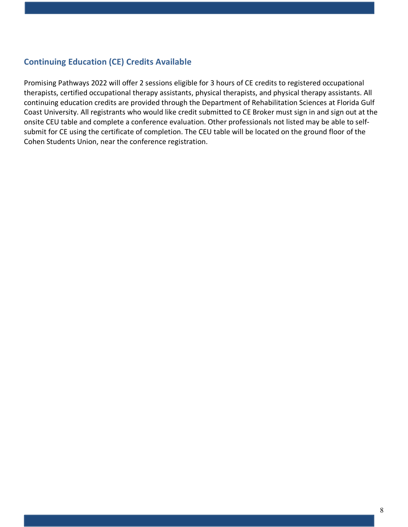#### **Continuing Education (CE) Credits Available**

Promising Pathways 2022 will offer 2 sessions eligible for 3 hours of CE credits to registered occupational therapists, certified occupational therapy assistants, physical therapists, and physical therapy assistants. All continuing education credits are provided through the Department of Rehabilitation Sciences at Florida Gulf Coast University. All registrants who would like credit submitted to CE Broker must sign in and sign out at the onsite CEU table and complete a conference evaluation. Other professionals not listed may be able to selfsubmit for CE using the certificate of completion. The CEU table will be located on the ground floor of the Cohen Students Union, near the conference registration.